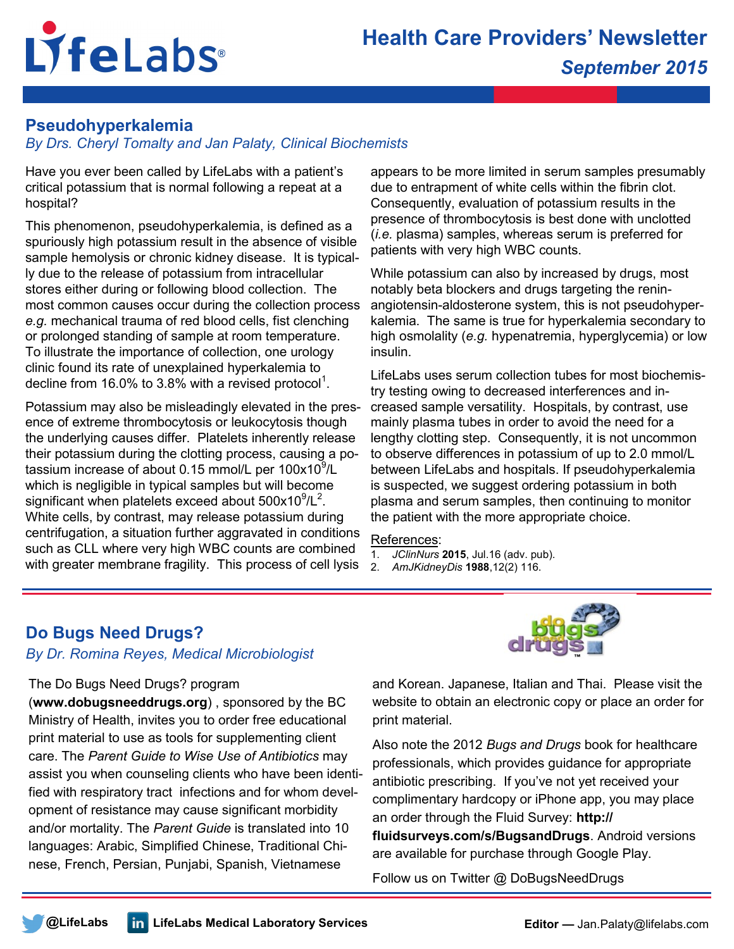# LifeLabs®

### **Pseudohyperkalemia**

*By Drs. Cheryl Tomalty and Jan Palaty, Clinical Biochemists* 

Have you ever been called by LifeLabs with a patient's critical potassium that is normal following a repeat at a hospital?

This phenomenon, pseudohyperkalemia, is defined as a spuriously high potassium result in the absence of visible sample hemolysis or chronic kidney disease. It is typically due to the release of potassium from intracellular stores either during or following blood collection. The most common causes occur during the collection process *e.g.* mechanical trauma of red blood cells, fist clenching or prolonged standing of sample at room temperature. To illustrate the importance of collection, one urology clinic found its rate of unexplained hyperkalemia to decline from 16.0% to 3.8% with a revised protocol<sup>1</sup>.

Potassium may also be misleadingly elevated in the presence of extreme thrombocytosis or leukocytosis though the underlying causes differ. Platelets inherently release their potassium during the clotting process, causing a potassium increase of about 0.15 mmol/L per 100x10 $9$ /L which is negligible in typical samples but will become significant when platelets exceed about  $500x10^9/L^2$ . White cells, by contrast, may release potassium during centrifugation, a situation further aggravated in conditions such as CLL where very high WBC counts are combined with greater membrane fragility. This process of cell lysis

appears to be more limited in serum samples presumably due to entrapment of white cells within the fibrin clot. Consequently, evaluation of potassium results in the presence of thrombocytosis is best done with unclotted (*i.e.* plasma) samples, whereas serum is preferred for patients with very high WBC counts.

While potassium can also by increased by drugs, most notably beta blockers and drugs targeting the reninangiotensin-aldosterone system, this is not pseudohyperkalemia. The same is true for hyperkalemia secondary to high osmolality (*e.g.* hypenatremia, hyperglycemia) or low insulin.

LifeLabs uses serum collection tubes for most biochemistry testing owing to decreased interferences and increased sample versatility. Hospitals, by contrast, use mainly plasma tubes in order to avoid the need for a lengthy clotting step. Consequently, it is not uncommon to observe differences in potassium of up to 2.0 mmol/L between LifeLabs and hospitals. If pseudohyperkalemia is suspected, we suggest ordering potassium in both plasma and serum samples, then continuing to monitor the patient with the more appropriate choice.

#### References:

1. *JClinNurs* **2015**, Jul.16 (adv. pub).

2. *AmJKidneyDis* **1988**,12(2) 116.

## **Do Bugs Need Drugs?**

#### *By Dr. Romina Reyes, Medical Microbiologist*

#### The Do Bugs Need Drugs? program

(**www.dobugsneeddrugs.org**) , sponsored by the BC Ministry of Health, invites you to order free educational print material to use as tools for supplementing client care. The *Parent Guide to Wise Use of Antibiotics* may assist you when counseling clients who have been identified with respiratory tract infections and for whom development of resistance may cause significant morbidity and/or mortality. The *Parent Guide* is translated into 10 languages: Arabic, Simplified Chinese, Traditional Chinese, French, Persian, Punjabi, Spanish, Vietnamese



and Korean. Japanese, Italian and Thai. Please visit the website to obtain an electronic copy or place an order for print material.

Also note the 2012 *Bugs and Drugs* book for healthcare professionals, which provides guidance for appropriate antibiotic prescribing. If you've not yet received your complimentary hardcopy or iPhone app, you may place an order through the Fluid Survey: **http:// fluidsurveys.com/s/BugsandDrugs**. Android versions are available for purchase through Google Play.

Follow us on Twitter @ DoBugsNeedDrugs